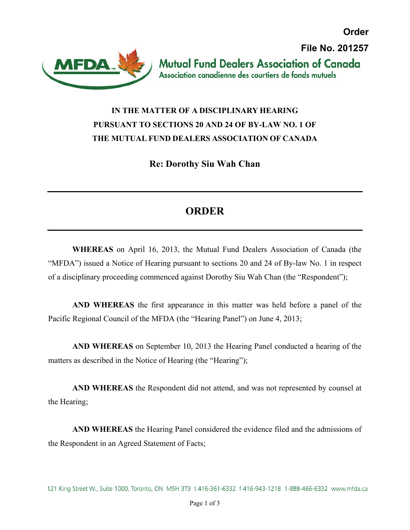**Order File No. 201257Mutual Fund Dealers Association of Canada** Association canadienne des courtiers de fonds mutuels



## **IN THE MATTER OF A DISCIPLINARY HEARING PURSUANT TO SECTIONS 20 AND 24 OF BY-LAW NO. 1 OF THE MUTUAL FUND DEALERS ASSOCIATION OF CANADA**

**Re: Dorothy Siu Wah Chan** 

## **ORDER**

**WHEREAS** on April 16, 2013, the Mutual Fund Dealers Association of Canada (the "MFDA") issued a Notice of Hearing pursuant to sections 20 and 24 of By-law No. 1 in respect of a disciplinary proceeding commenced against Dorothy Siu Wah Chan (the "Respondent");

**AND WHEREAS** the first appearance in this matter was held before a panel of the Pacific Regional Council of the MFDA (the "Hearing Panel") on June 4, 2013;

**AND WHEREAS** on September 10, 2013 the Hearing Panel conducted a hearing of the matters as described in the Notice of Hearing (the "Hearing");

**AND WHEREAS** the Respondent did not attend, and was not represented by counsel at the Hearing;

**AND WHEREAS** the Hearing Panel considered the evidence filed and the admissions of the Respondent in an Agreed Statement of Facts;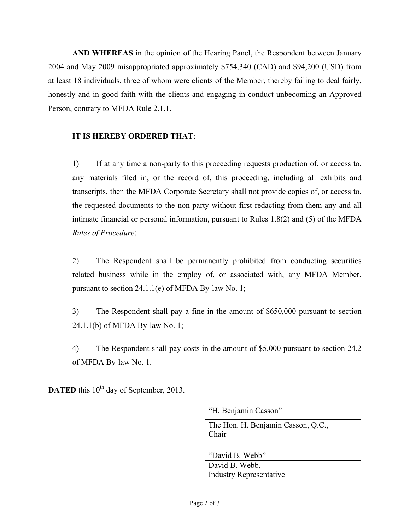**AND WHEREAS** in the opinion of the Hearing Panel, the Respondent between January 2004 and May 2009 misappropriated approximately \$754,340 (CAD) and \$94,200 (USD) from at least 18 individuals, three of whom were clients of the Member, thereby failing to deal fairly, honestly and in good faith with the clients and engaging in conduct unbecoming an Approved Person, contrary to MFDA Rule 2.1.1.

## **IT IS HEREBY ORDERED THAT**:

1) If at any time a non-party to this proceeding requests production of, or access to, any materials filed in, or the record of, this proceeding, including all exhibits and transcripts, then the MFDA Corporate Secretary shall not provide copies of, or access to, the requested documents to the non-party without first redacting from them any and all intimate financial or personal information, pursuant to Rules 1.8(2) and (5) of the MFDA *Rules of Procedure*;

2) The Respondent shall be permanently prohibited from conducting securities related business while in the employ of, or associated with, any MFDA Member, pursuant to section 24.1.1(e) of MFDA By-law No. 1;

3) The Respondent shall pay a fine in the amount of \$650,000 pursuant to section 24.1.1(b) of MFDA By-law No. 1;

4) The Respondent shall pay costs in the amount of \$5,000 pursuant to section 24.2 of MFDA By-law No. 1.

**DATED** this 10<sup>th</sup> day of September, 2013.

"H. Benjamin Casson"

The Hon. H. Benjamin Casson, Q.C., Chair

"David B. Webb"

David B. Webb, Industry Representative